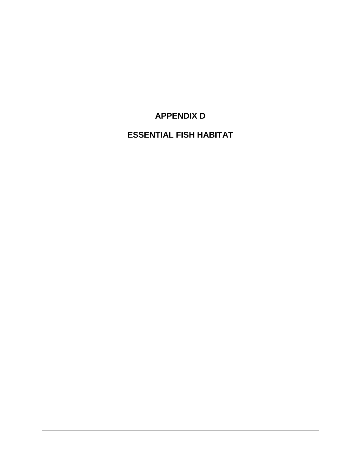# **APPENDIX D**

**ESSENTIAL FISH HABITAT**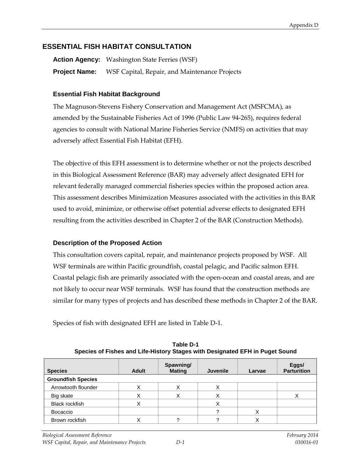## **ESSENTIAL FISH HABITAT CONSULTATION**

**Action Agency:** Washington State Ferries (WSF) **Project Name:** WSF Capital, Repair, and Maintenance Projects

### **Essential Fish Habitat Background**

The Magnuson-Stevens Fishery Conservation and Management Act (MSFCMA), as amended by the Sustainable Fisheries Act of 1996 (Public Law 94-265), requires federal agencies to consult with National Marine Fisheries Service (NMFS) on activities that may adversely affect Essential Fish Habitat (EFH).

The objective of this EFH assessment is to determine whether or not the projects described in this Biological Assessment Reference (BAR) may adversely affect designated EFH for relevant federally managed commercial fisheries species within the proposed action area. This assessment describes Minimization Measures associated with the activities in this BAR used to avoid, minimize, or otherwise offset potential adverse effects to designated EFH resulting from the activities described in Chapter 2 of the BAR (Construction Methods).

### **Description of the Proposed Action**

This consultation covers capital, repair, and maintenance projects proposed by WSF. All WSF terminals are within Pacific groundfish, coastal pelagic, and Pacific salmon EFH. Coastal pelagic fish are primarily associated with the open-ocean and coastal areas, and are not likely to occur near WSF terminals. WSF has found that the construction methods are similar for many types of projects and has described these methods in Chapter 2 of the BAR.

Species of fish with designated EFH are listed in Table D-1.

| <b>Species</b>            | <b>Adult</b> | Spawning/<br><b>Mating</b> | <b>Juvenile</b> | Larvae | Eggs/<br><b>Parturition</b> |  |
|---------------------------|--------------|----------------------------|-----------------|--------|-----------------------------|--|
| <b>Groundfish Species</b> |              |                            |                 |        |                             |  |
| Arrowtooth flounder       |              |                            |                 |        |                             |  |
| Big skate                 |              |                            |                 |        |                             |  |
| <b>Black rockfish</b>     |              |                            |                 |        |                             |  |
| Bocaccio                  |              |                            |                 | ⋏      |                             |  |
| Brown rockfish            |              |                            |                 |        |                             |  |

**Table D-1 Species of Fishes and Life-History Stages with Designated EFH in Puget Sound**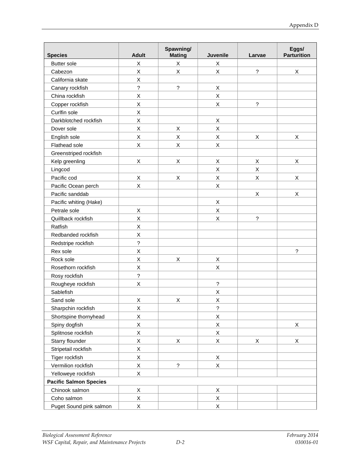| <b>Species</b>                | <b>Adult</b>             | Spawning/<br><b>Mating</b> | Juvenile                 | Larvae                   | Eggs/<br><b>Parturition</b> |
|-------------------------------|--------------------------|----------------------------|--------------------------|--------------------------|-----------------------------|
| <b>Butter</b> sole            | X                        | X                          | Χ                        |                          |                             |
| Cabezon                       | Χ                        | X                          | $\sf X$                  | ?                        | X                           |
| California skate              | Χ                        |                            |                          |                          |                             |
| Canary rockfish               | $\overline{\mathcal{C}}$ | $\overline{?}$             | X                        |                          |                             |
| China rockfish                | X                        |                            | X                        |                          |                             |
| Copper rockfish               | $\sf X$                  |                            | X                        | $\overline{\phantom{a}}$ |                             |
| Curlfin sole                  | Χ                        |                            |                          |                          |                             |
| Darkblotched rockfish         | Χ                        |                            | Χ                        |                          |                             |
| Dover sole                    | $\mathsf X$              | X                          | $\sf X$                  |                          |                             |
| English sole                  | X                        | X                          | X                        | $\sf X$                  | $\mathsf X$                 |
| Flathead sole                 | Χ                        | Χ                          | Χ                        |                          |                             |
| Greenstriped rockfish         |                          |                            |                          |                          |                             |
| Kelp greenling                | $\mathsf X$              | Χ                          | Χ                        | Χ                        | X                           |
| Lingcod                       |                          |                            | X                        | $\sf X$                  |                             |
| Pacific cod                   | X                        | Χ                          | $\sf X$                  | X                        | X                           |
| Pacific Ocean perch           | X                        |                            | X                        |                          |                             |
| Pacific sanddab               |                          |                            |                          | X                        | X                           |
| Pacific whiting (Hake)        |                          |                            | Χ                        |                          |                             |
| Petrale sole                  | X                        |                            | Χ                        |                          |                             |
| Quillback rockfish            | $\sf X$                  |                            | X                        | $\tilde{?}$              |                             |
| Ratfish                       | Χ                        |                            |                          |                          |                             |
| Redbanded rockfish            | Χ                        |                            |                          |                          |                             |
| Redstripe rockfish            | $\overline{\phantom{a}}$ |                            |                          |                          |                             |
| Rex sole                      | Χ                        |                            |                          |                          | ?                           |
| Rock sole                     | Χ                        | Χ                          | X                        |                          |                             |
| Rosethorn rockfish            | Χ                        |                            | X                        |                          |                             |
| Rosy rockfish                 | $\overline{?}$           |                            |                          |                          |                             |
| Rougheye rockfish             | Χ                        |                            | $\overline{\phantom{a}}$ |                          |                             |
| Sablefish                     |                          |                            | X                        |                          |                             |
| Sand sole                     | X                        | X                          | X                        |                          |                             |
| Sharpchin rockfish            | X                        |                            | ?                        |                          |                             |
| Shortspine thornyhead         | X                        |                            | Χ                        |                          |                             |
| Spiny dogfish                 | Χ                        |                            | X                        |                          | X                           |
| Splitnose rockfish            | Χ                        |                            | $\mathsf X$              |                          |                             |
| Starry flounder               | $\mathsf X$              | X                          | X                        | X                        | X                           |
| Stripetail rockfish           | Χ                        |                            |                          |                          |                             |
| Tiger rockfish                | Χ                        |                            | X                        |                          |                             |
| Vermilion rockfish            | Χ                        | $\tilde{?}$                | $\mathsf X$              |                          |                             |
| Yelloweye rockfish            | X                        |                            |                          |                          |                             |
| <b>Pacific Salmon Species</b> |                          |                            |                          |                          |                             |
| Chinook salmon                | X                        |                            | Χ                        |                          |                             |
| Coho salmon                   | $\mathsf X$              |                            | Χ                        |                          |                             |
| Puget Sound pink salmon       | Χ                        |                            | Χ                        |                          |                             |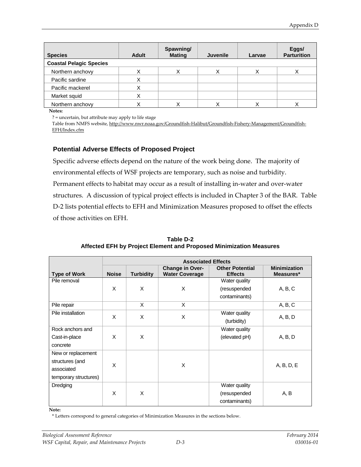| <b>Species</b>                 | <b>Adult</b> | Spawning/<br><b>Mating</b> | <b>Juvenile</b> | Larvae | Eggs/<br><b>Parturition</b> |  |
|--------------------------------|--------------|----------------------------|-----------------|--------|-----------------------------|--|
| <b>Coastal Pelagic Species</b> |              |                            |                 |        |                             |  |
| Northern anchovy               |              | ◡                          |                 | Χ      |                             |  |
| Pacific sardine                |              |                            |                 |        |                             |  |
| Pacific mackerel               |              |                            |                 |        |                             |  |
| Market squid                   |              |                            |                 |        |                             |  |
| Northern anchovy               |              |                            |                 |        |                             |  |

**Notes:**

? = uncertain, but attribute may apply to life stage

Table from NMFS website, [http://www.nwr.noaa.gov/Groundfish-Halibut/Groundfish-Fishery-Management/Groundfish-](http://www.nwr.noaa.gov/Groundfish-Halibut/Groundfish-Fishery-Management/Groundfish-EFH/Index.cfm)[EFH/Index.cfm](http://www.nwr.noaa.gov/Groundfish-Halibut/Groundfish-Fishery-Management/Groundfish-EFH/Index.cfm)

#### **Potential Adverse Effects of Proposed Project**

Specific adverse effects depend on the nature of the work being done. The majority of environmental effects of WSF projects are temporary, such as noise and turbidity. Permanent effects to habitat may occur as a result of installing in-water and over-water structures. A discussion of typical project effects is included in Chapter 3 of the BAR. Table D-2 lists potential effects to EFH and Minimization Measures proposed to offset the effects of those activities on EFH.

|                       | <b>Associated Effects</b> |                  |                                          |                                          |                                  |  |
|-----------------------|---------------------------|------------------|------------------------------------------|------------------------------------------|----------------------------------|--|
| <b>Type of Work</b>   | <b>Noise</b>              | <b>Turbidity</b> | Change in Over-<br><b>Water Coverage</b> | <b>Other Potential</b><br><b>Effects</b> | <b>Minimization</b><br>Measures* |  |
| Pile removal          |                           |                  |                                          | Water quality                            |                                  |  |
|                       | X                         | X                | X                                        | (resuspended                             | A, B, C                          |  |
|                       |                           |                  |                                          | contaminants)                            |                                  |  |
| Pile repair           |                           | X                | X                                        |                                          | A, B, C                          |  |
| Pile installation     | X                         | X                | X                                        | Water quality                            | A, B, D                          |  |
|                       |                           |                  |                                          | (turbidity)                              |                                  |  |
| Rock anchors and      |                           |                  |                                          | Water quality                            |                                  |  |
| Cast-in-place         | X                         | X                |                                          | (elevated pH)                            | A, B, D                          |  |
| concrete              |                           |                  |                                          |                                          |                                  |  |
| New or replacement    |                           |                  |                                          |                                          |                                  |  |
| structures (and       | X<br>X                    |                  |                                          | A, B, D, E                               |                                  |  |
| associated            |                           |                  |                                          |                                          |                                  |  |
| temporary structures) |                           |                  |                                          |                                          |                                  |  |
| Dredging              |                           |                  |                                          | Water quality                            |                                  |  |
|                       | X                         | X                |                                          | (resuspended                             | A, B                             |  |
|                       |                           |                  |                                          | contaminants)                            |                                  |  |

**Table D-2 Affected EFH by Project Element and Proposed Minimization Measures**

**Note:**

\* Letters correspond to general categories of Minimization Measures in the sections below.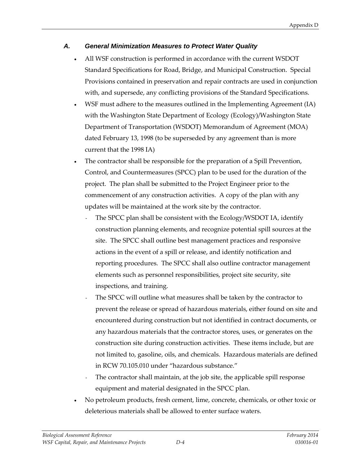## *A. General Minimization Measures to Protect Water Quality*

- All WSF construction is performed in accordance with the current WSDOT Standard Specifications for Road, Bridge, and Municipal Construction. Special Provisions contained in preservation and repair contracts are used in conjunction with, and supersede, any conflicting provisions of the Standard Specifications.
- WSF must adhere to the measures outlined in the Implementing Agreement (IA) with the Washington State Department of Ecology (Ecology)/Washington State Department of Transportation (WSDOT) Memorandum of Agreement (MOA) dated February 13, 1998 (to be superseded by any agreement than is more current that the 1998 IA)
- The contractor shall be responsible for the preparation of a Spill Prevention, Control, and Countermeasures (SPCC) plan to be used for the duration of the project. The plan shall be submitted to the Project Engineer prior to the commencement of any construction activities. A copy of the plan with any updates will be maintained at the work site by the contractor.
	- The SPCC plan shall be consistent with the Ecology/WSDOT IA, identify construction planning elements, and recognize potential spill sources at the site. The SPCC shall outline best management practices and responsive actions in the event of a spill or release, and identify notification and reporting procedures. The SPCC shall also outline contractor management elements such as personnel responsibilities, project site security, site inspections, and training.
	- The SPCC will outline what measures shall be taken by the contractor to prevent the release or spread of hazardous materials, either found on site and encountered during construction but not identified in contract documents, or any hazardous materials that the contractor stores, uses, or generates on the construction site during construction activities. These items include, but are not limited to, gasoline, oils, and chemicals. Hazardous materials are defined in RCW 70.105.010 under "hazardous substance."
	- The contractor shall maintain, at the job site, the applicable spill response equipment and material designated in the SPCC plan.
- No petroleum products, fresh cement, lime, concrete, chemicals, or other toxic or deleterious materials shall be allowed to enter surface waters.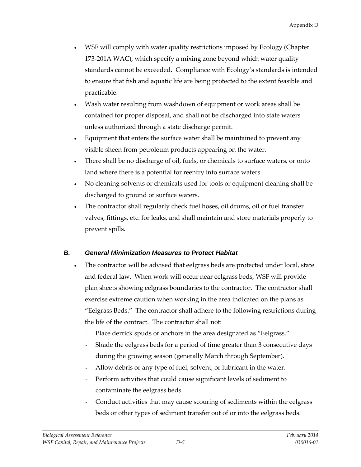- WSF will comply with water quality restrictions imposed by Ecology (Chapter 173-201A WAC), which specify a mixing zone beyond which water quality standards cannot be exceeded. Compliance with Ecology's standards is intended to ensure that fish and aquatic life are being protected to the extent feasible and practicable.
- Wash water resulting from washdown of equipment or work areas shall be contained for proper disposal, and shall not be discharged into state waters unless authorized through a state discharge permit.
- Equipment that enters the surface water shall be maintained to prevent any visible sheen from petroleum products appearing on the water.
- There shall be no discharge of oil, fuels, or chemicals to surface waters, or onto land where there is a potential for reentry into surface waters.
- No cleaning solvents or chemicals used for tools or equipment cleaning shall be discharged to ground or surface waters.
- The contractor shall regularly check fuel hoses, oil drums, oil or fuel transfer valves, fittings, etc. for leaks, and shall maintain and store materials properly to prevent spills.

### *B. General Minimization Measures to Protect Habitat*

- The contractor will be advised that eelgrass beds are protected under local, state and federal law. When work will occur near eelgrass beds, WSF will provide plan sheets showing eelgrass boundaries to the contractor. The contractor shall exercise extreme caution when working in the area indicated on the plans as "Eelgrass Beds." The contractor shall adhere to the following restrictions during the life of the contract. The contractor shall not:
	- Place derrick spuds or anchors in the area designated as "Eelgrass."
	- Shade the eelgrass beds for a period of time greater than 3 consecutive days during the growing season (generally March through September).
	- Allow debris or any type of fuel, solvent, or lubricant in the water.
	- Perform activities that could cause significant levels of sediment to contaminate the eelgrass beds.
	- Conduct activities that may cause scouring of sediments within the eelgrass beds or other types of sediment transfer out of or into the eelgrass beds.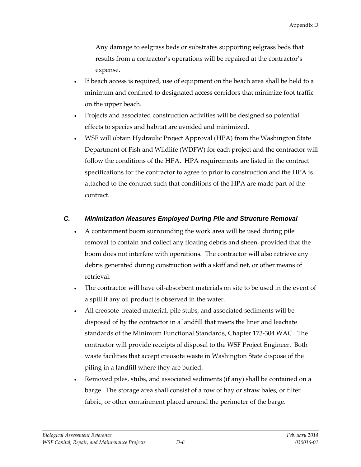- Any damage to eelgrass beds or substrates supporting eelgrass beds that results from a contractor's operations will be repaired at the contractor's expense.
- If beach access is required, use of equipment on the beach area shall be held to a minimum and confined to designated access corridors that minimize foot traffic on the upper beach.
- Projects and associated construction activities will be designed so potential effects to species and habitat are avoided and minimized.
- WSF will obtain Hydraulic Project Approval (HPA) from the Washington State Department of Fish and Wildlife (WDFW) for each project and the contractor will follow the conditions of the HPA. HPA requirements are listed in the contract specifications for the contractor to agree to prior to construction and the HPA is attached to the contract such that conditions of the HPA are made part of the contract.

## *C. Minimization Measures Employed During Pile and Structure Removal*

- A containment boom surrounding the work area will be used during pile removal to contain and collect any floating debris and sheen, provided that the boom does not interfere with operations. The contractor will also retrieve any debris generated during construction with a skiff and net, or other means of retrieval.
- The contractor will have oil-absorbent materials on site to be used in the event of a spill if any oil product is observed in the water.
- All creosote-treated material, pile stubs, and associated sediments will be disposed of by the contractor in a landfill that meets the liner and leachate standards of the Minimum Functional Standards, Chapter 173-304 WAC. The contractor will provide receipts of disposal to the WSF Project Engineer. Both waste facilities that accept creosote waste in Washington State dispose of the piling in a landfill where they are buried.
- Removed piles, stubs, and associated sediments (if any) shall be contained on a barge. The storage area shall consist of a row of hay or straw bales, or filter fabric, or other containment placed around the perimeter of the barge.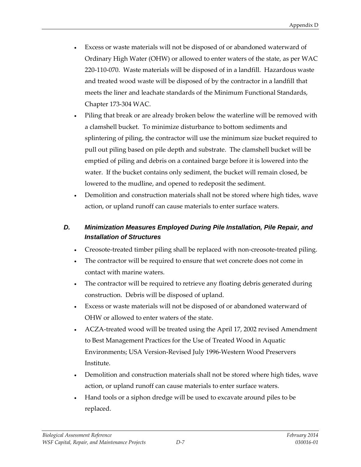- Excess or waste materials will not be disposed of or abandoned waterward of Ordinary High Water (OHW) or allowed to enter waters of the state, as per WAC 220-110-070. Waste materials will be disposed of in a landfill. Hazardous waste and treated wood waste will be disposed of by the contractor in a landfill that meets the liner and leachate standards of the Minimum Functional Standards, Chapter 173-304 WAC.
- Piling that break or are already broken below the waterline will be removed with a clamshell bucket. To minimize disturbance to bottom sediments and splintering of piling, the contractor will use the minimum size bucket required to pull out piling based on pile depth and substrate. The clamshell bucket will be emptied of piling and debris on a contained barge before it is lowered into the water. If the bucket contains only sediment, the bucket will remain closed, be lowered to the mudline, and opened to redeposit the sediment.
- Demolition and construction materials shall not be stored where high tides, wave action, or upland runoff can cause materials to enter surface waters.

# *D. Minimization Measures Employed During Pile Installation, Pile Repair, and Installation of Structures*

- Creosote-treated timber piling shall be replaced with non-creosote-treated piling.
- The contractor will be required to ensure that wet concrete does not come in contact with marine waters.
- The contractor will be required to retrieve any floating debris generated during construction. Debris will be disposed of upland.
- Excess or waste materials will not be disposed of or abandoned waterward of OHW or allowed to enter waters of the state.
- ACZA-treated wood will be treated using the April 17, 2002 revised Amendment to Best Management Practices for the Use of Treated Wood in Aquatic Environments; USA Version-Revised July 1996-Western Wood Preservers Institute.
- Demolition and construction materials shall not be stored where high tides, wave action, or upland runoff can cause materials to enter surface waters.
- Hand tools or a siphon dredge will be used to excavate around piles to be replaced.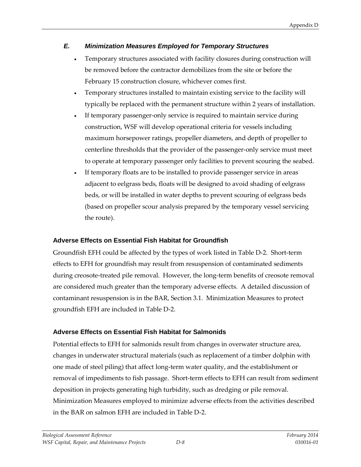# *E. Minimization Measures Employed for Temporary Structures*

- Temporary structures associated with facility closures during construction will be removed before the contractor demobilizes from the site or before the February 15 construction closure, whichever comes first.
- Temporary structures installed to maintain existing service to the facility will typically be replaced with the permanent structure within 2 years of installation.
- If temporary passenger-only service is required to maintain service during construction, WSF will develop operational criteria for vessels including maximum horsepower ratings, propeller diameters, and depth of propeller to centerline thresholds that the provider of the passenger-only service must meet to operate at temporary passenger only facilities to prevent scouring the seabed.
- If temporary floats are to be installed to provide passenger service in areas adjacent to eelgrass beds, floats will be designed to avoid shading of eelgrass beds, or will be installed in water depths to prevent scouring of eelgrass beds (based on propeller scour analysis prepared by the temporary vessel servicing the route).

### **Adverse Effects on Essential Fish Habitat for Groundfish**

Groundfish EFH could be affected by the types of work listed in Table D-2. Short-term effects to EFH for groundfish may result from resuspension of contaminated sediments during creosote-treated pile removal. However, the long-term benefits of creosote removal are considered much greater than the temporary adverse effects. A detailed discussion of contaminant resuspension is in the BAR, Section 3.1. Minimization Measures to protect groundfish EFH are included in Table D-2.

# **Adverse Effects on Essential Fish Habitat for Salmonids**

Potential effects to EFH for salmonids result from changes in overwater structure area, changes in underwater structural materials (such as replacement of a timber dolphin with one made of steel piling) that affect long-term water quality, and the establishment or removal of impediments to fish passage. Short-term effects to EFH can result from sediment deposition in projects generating high turbidity, such as dredging or pile removal. Minimization Measures employed to minimize adverse effects from the activities described in the BAR on salmon EFH are included in Table D-2.